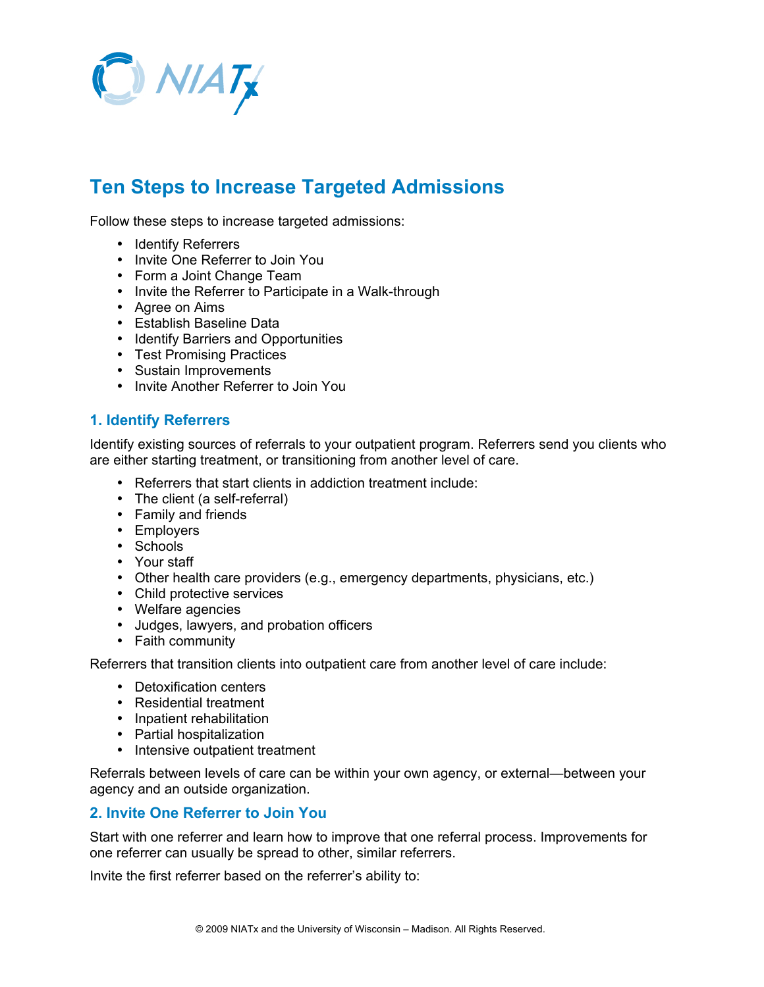

# **Ten Steps to Increase Targeted Admissions**

Follow these steps to increase targeted admissions:

- Identify Referrers
- Invite One Referrer to Join You
- Form a Joint Change Team
- Invite the Referrer to Participate in a Walk-through
- Agree on Aims
- Establish Baseline Data
- Identify Barriers and Opportunities
- Test Promising Practices
- Sustain Improvements
- Invite Another Referrer to Join You

### **1. Identify Referrers**

Identify existing sources of referrals to your outpatient program. Referrers send you clients who are either starting treatment, or transitioning from another level of care.

- Referrers that start clients in addiction treatment include:
- The client (a self-referral)
- Family and friends
- Employers
- Schools
- Your staff
- Other health care providers (e.g., emergency departments, physicians, etc.)
- Child protective services
- Welfare agencies
- Judges, lawyers, and probation officers
- Faith community

Referrers that transition clients into outpatient care from another level of care include:

- Detoxification centers
- Residential treatment
- Inpatient rehabilitation
- Partial hospitalization
- Intensive outpatient treatment

Referrals between levels of care can be within your own agency, or external—between your agency and an outside organization.

#### **2. Invite One Referrer to Join You**

Start with one referrer and learn how to improve that one referral process. Improvements for one referrer can usually be spread to other, similar referrers.

Invite the first referrer based on the referrer's ability to: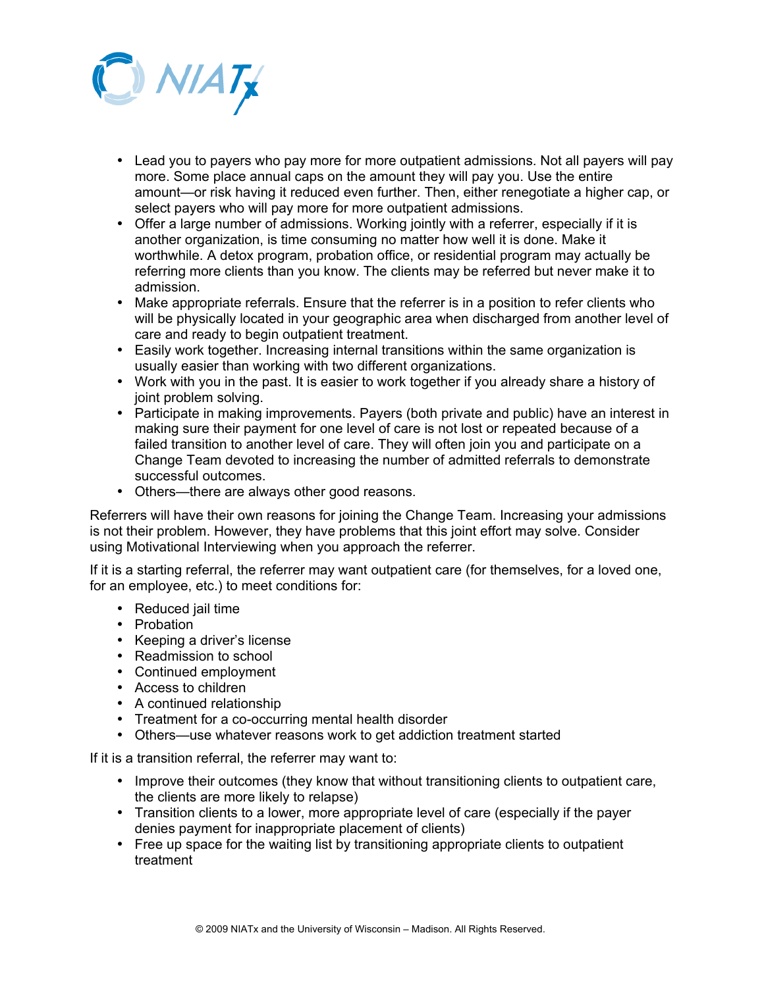

- Lead you to payers who pay more for more outpatient admissions. Not all payers will pay more. Some place annual caps on the amount they will pay you. Use the entire amount—or risk having it reduced even further. Then, either renegotiate a higher cap, or select payers who will pay more for more outpatient admissions.
- Offer a large number of admissions. Working jointly with a referrer, especially if it is another organization, is time consuming no matter how well it is done. Make it worthwhile. A detox program, probation office, or residential program may actually be referring more clients than you know. The clients may be referred but never make it to admission.
- Make appropriate referrals. Ensure that the referrer is in a position to refer clients who will be physically located in your geographic area when discharged from another level of care and ready to begin outpatient treatment.
- Easily work together. Increasing internal transitions within the same organization is usually easier than working with two different organizations.
- Work with you in the past. It is easier to work together if you already share a history of joint problem solving.
- Participate in making improvements. Payers (both private and public) have an interest in making sure their payment for one level of care is not lost or repeated because of a failed transition to another level of care. They will often join you and participate on a Change Team devoted to increasing the number of admitted referrals to demonstrate successful outcomes.
- Others—there are always other good reasons.

Referrers will have their own reasons for joining the Change Team. Increasing your admissions is not their problem. However, they have problems that this joint effort may solve. Consider using Motivational Interviewing when you approach the referrer.

If it is a starting referral, the referrer may want outpatient care (for themselves, for a loved one, for an employee, etc.) to meet conditions for:

- Reduced jail time
- Probation
- Keeping a driver's license
- Readmission to school
- Continued employment
- Access to children
- A continued relationship
- Treatment for a co-occurring mental health disorder
- Others—use whatever reasons work to get addiction treatment started

If it is a transition referral, the referrer may want to:

- Improve their outcomes (they know that without transitioning clients to outpatient care, the clients are more likely to relapse)
- Transition clients to a lower, more appropriate level of care (especially if the payer denies payment for inappropriate placement of clients)
- Free up space for the waiting list by transitioning appropriate clients to outpatient treatment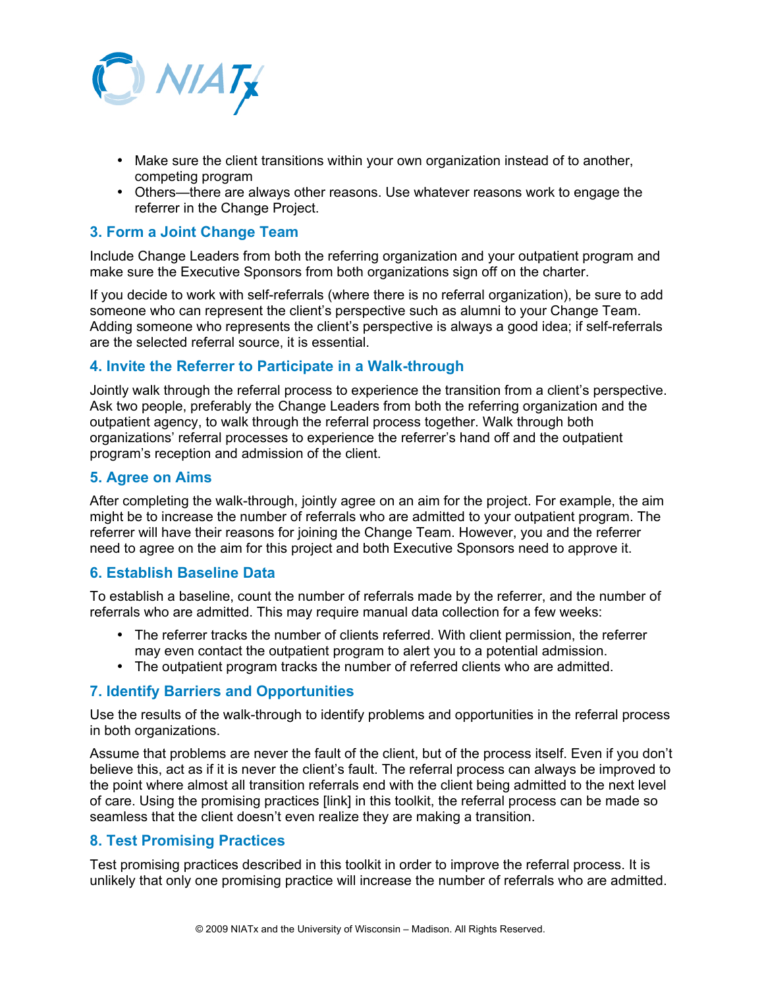

- Make sure the client transitions within your own organization instead of to another, competing program
- Others—there are always other reasons. Use whatever reasons work to engage the referrer in the Change Project.

# **3. Form a Joint Change Team**

Include Change Leaders from both the referring organization and your outpatient program and make sure the Executive Sponsors from both organizations sign off on the charter.

If you decide to work with self-referrals (where there is no referral organization), be sure to add someone who can represent the client's perspective such as alumni to your Change Team. Adding someone who represents the client's perspective is always a good idea; if self-referrals are the selected referral source, it is essential.

# **4. Invite the Referrer to Participate in a Walk-through**

Jointly walk through the referral process to experience the transition from a client's perspective. Ask two people, preferably the Change Leaders from both the referring organization and the outpatient agency, to walk through the referral process together. Walk through both organizations' referral processes to experience the referrer's hand off and the outpatient program's reception and admission of the client.

# **5. Agree on Aims**

After completing the walk-through, jointly agree on an aim for the project. For example, the aim might be to increase the number of referrals who are admitted to your outpatient program. The referrer will have their reasons for joining the Change Team. However, you and the referrer need to agree on the aim for this project and both Executive Sponsors need to approve it.

### **6. Establish Baseline Data**

To establish a baseline, count the number of referrals made by the referrer, and the number of referrals who are admitted. This may require manual data collection for a few weeks:

- The referrer tracks the number of clients referred. With client permission, the referrer may even contact the outpatient program to alert you to a potential admission.
- The outpatient program tracks the number of referred clients who are admitted.

### **7. Identify Barriers and Opportunities**

Use the results of the walk-through to identify problems and opportunities in the referral process in both organizations.

Assume that problems are never the fault of the client, but of the process itself. Even if you don't believe this, act as if it is never the client's fault. The referral process can always be improved to the point where almost all transition referrals end with the client being admitted to the next level of care. Using the promising practices [link] in this toolkit, the referral process can be made so seamless that the client doesn't even realize they are making a transition.

### **8. Test Promising Practices**

Test promising practices described in this toolkit in order to improve the referral process. It is unlikely that only one promising practice will increase the number of referrals who are admitted.